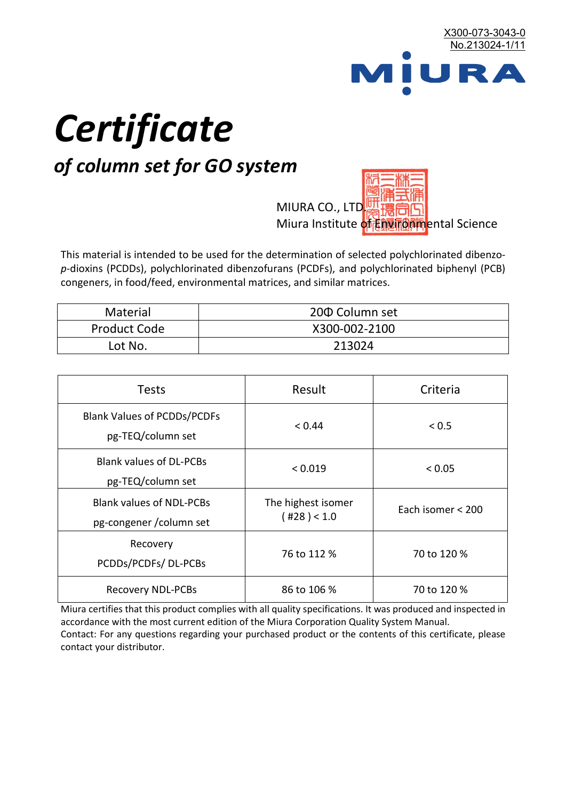

# *Certificate*

## *of column set for GO system*

MIURA CO., LTD. Miura Institute of 正版而解ental Science

This material is intended to be used for the determination of selected polychlorinated dibenzo*p*-dioxins (PCDDs), polychlorinated dibenzofurans (PCDFs), and polychlorinated biphenyl (PCB) congeners, in food/feed, environmental matrices, and similar matrices.

| <b>Material</b>     | 200 Column set |  |
|---------------------|----------------|--|
| <b>Product Code</b> | X300-002-2100  |  |
| Lot No.             | 213024         |  |

| <b>Tests</b>                                                | Result                            | Criteria          |
|-------------------------------------------------------------|-----------------------------------|-------------------|
| <b>Blank Values of PCDDs/PCDFs</b><br>pg-TEQ/column set     | < 0.44                            | < 0.5             |
| <b>Blank values of DL-PCBs</b><br>pg-TEQ/column set         | < 0.019                           | < 0.05            |
| <b>Blank values of NDL-PCBs</b><br>pg-congener / column set | The highest isomer<br>(428) < 1.0 | Each isomer < 200 |
| Recovery<br>PCDDs/PCDFs/DL-PCBs                             | 76 to 112 %                       | 70 to 120 %       |
| <b>Recovery NDL-PCBs</b>                                    | 86 to 106 %                       | 70 to 120 %       |

Miura certifies that this product complies with all quality specifications. It was produced and inspected in accordance with the most current edition of the Miura Corporation Quality System Manual. Contact: For any questions regarding your purchased product or the contents of this certificate, please contact your distributor.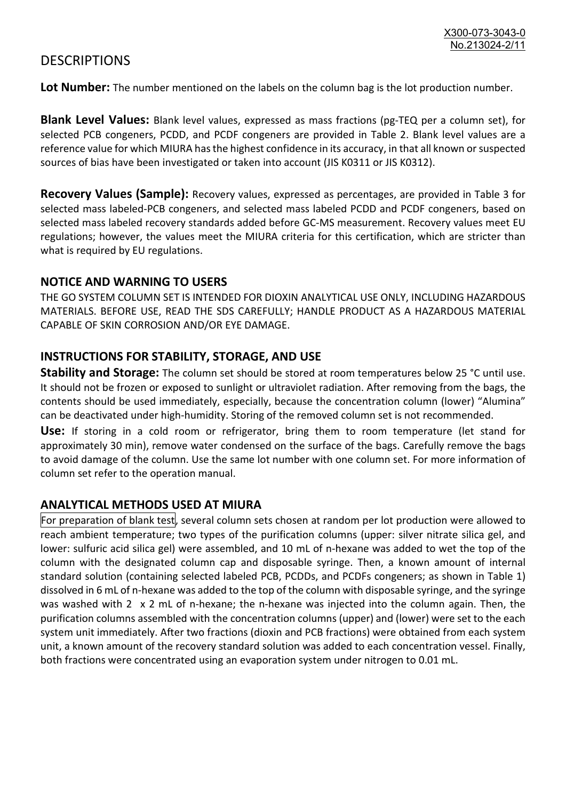### **DESCRIPTIONS**

**Lot Number:** The number mentioned on the labels on the column bag is the lot production number.

**Blank Level Values:** Blank level values, expressed as mass fractions (pg-TEQ per a column set), for selected PCB congeners, PCDD, and PCDF congeners are provided in Table 2. Blank level values are a reference value for which MIURA has the highest confidence in its accuracy, in that all known or suspected sources of bias have been investigated or taken into account (JIS K0311 or JIS K0312).

**Recovery Values (Sample):** Recovery values, expressed as percentages, are provided in Table 3 for selected mass labeled-PCB congeners, and selected mass labeled PCDD and PCDF congeners, based on selected mass labeled recovery standards added before GC-MS measurement. Recovery values meet EU regulations; however, the values meet the MIURA criteria for this certification, which are stricter than what is required by EU regulations.

#### **NOTICE AND WARNING TO USERS**

THE GO SYSTEM COLUMN SET IS INTENDED FOR DIOXIN ANALYTICAL USE ONLY, INCLUDING HAZARDOUS MATERIALS. BEFORE USE, READ THE SDS CAREFULLY; HANDLE PRODUCT AS A HAZARDOUS MATERIAL CAPABLE OF SKIN CORROSION AND/OR EYE DAMAGE.

#### **INSTRUCTIONS FOR STABILITY, STORAGE, AND USE**

**Stability and Storage:** The column set should be stored at room temperatures below 25 °C until use. It should not be frozen or exposed to sunlight or ultraviolet radiation. After removing from the bags, the contents should be used immediately, especially, because the concentration column (lower) "Alumina" can be deactivated under high-humidity. Storing of the removed column set is not recommended.

**Use:** If storing in a cold room or refrigerator, bring them to room temperature (let stand for approximately 30 min), remove water condensed on the surface of the bags. Carefully remove the bags to avoid damage of the column. Use the same lot number with one column set. For more information of column set refer to the operation manual.

#### **ANALYTICAL METHODS USED AT MIURA**

For preparation of blank test, several column sets chosen at random per lot production were allowed to reach ambient temperature; two types of the purification columns (upper: silver nitrate silica gel, and lower: sulfuric acid silica gel) were assembled, and 10 mL of n-hexane was added to wet the top of the column with the designated column cap and disposable syringe. Then, a known amount of internal standard solution (containing selected labeled PCB, PCDDs, and PCDFs congeners; as shown in Table 1) dissolved in 6 mL of n-hexane was added to the top of the column with disposable syringe, and the syringe was washed with 2 x 2 mL of n-hexane; the n-hexane was injected into the column again. Then, the purification columns assembled with the concentration columns (upper) and (lower) were set to the each system unit immediately. After two fractions (dioxin and PCB fractions) were obtained from each system unit, a known amount of the recovery standard solution was added to each concentration vessel. Finally, both fractions were concentrated using an evaporation system under nitrogen to 0.01 mL.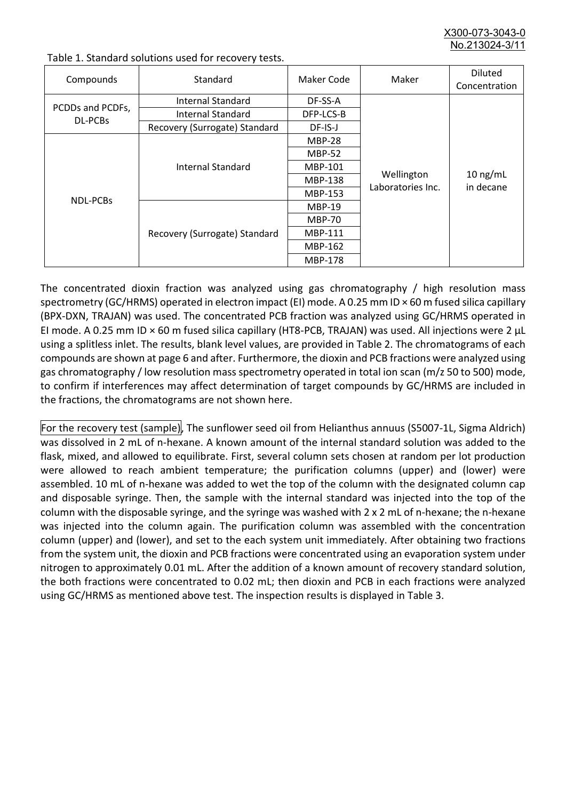X300-073-3043-0 No. 213024-3/

| Compounds                   | Standard                      | Maker Code     | Maker                           | <b>Diluted</b><br>Concentration |
|-----------------------------|-------------------------------|----------------|---------------------------------|---------------------------------|
| PCDDs and PCDFs,<br>DL-PCBs | Internal Standard             | DF-SS-A        |                                 | $10$ ng/mL<br>in decane         |
|                             | <b>Internal Standard</b>      | DFP-LCS-B      |                                 |                                 |
|                             | Recovery (Surrogate) Standard | $DF$ -IS-J     | Wellington<br>Laboratories Inc. |                                 |
| NDL-PCBs                    | Internal Standard             | <b>MBP-28</b>  |                                 |                                 |
|                             |                               | <b>MBP-52</b>  |                                 |                                 |
|                             |                               | MBP-101        |                                 |                                 |
|                             |                               | <b>MBP-138</b> |                                 |                                 |
|                             |                               | MBP-153        |                                 |                                 |
|                             | Recovery (Surrogate) Standard | <b>MBP-19</b>  |                                 |                                 |
|                             |                               | <b>MBP-70</b>  |                                 |                                 |
|                             |                               | MBP-111        |                                 |                                 |
|                             |                               | MBP-162        |                                 |                                 |
|                             |                               | <b>MBP-178</b> |                                 |                                 |

Table 1. Standard solutions used for recovery tests.

The concentrated dioxin fraction was analyzed using gas chromatography / high resolution mass spectrometry (GC/HRMS) operated in electron impact (EI) mode. A 0.25 mm ID × 60 m fused silica capillary (BPX-DXN, TRAJAN) was used. The concentrated PCB fraction was analyzed using GC/HRMS operated in EI mode. A 0.25 mm ID × 60 m fused silica capillary (HT8-PCB, TRAJAN) was used. All injections were 2 μL using a splitless inlet. The results, blank level values, are provided in Table 2. The chromatograms of each compounds are shown at page 6 and after. Furthermore, the dioxin and PCB fractions were analyzed using gas chromatography / low resolution mass spectrometry operated in total ion scan (m/z 50 to 500) mode, to confirm if interferences may affect determination of target compounds by GC/HRMS are included in the fractions, the chromatograms are not shown here.

For the recovery test (sample), The sunflower seed oil from Helianthus annuus (S5007-1L, Sigma Aldrich) was dissolved in 2 mL of n-hexane. A known amount of the internal standard solution was added to the flask, mixed, and allowed to equilibrate. First, several column sets chosen at random per lot production were allowed to reach ambient temperature; the purification columns (upper) and (lower) were assembled. 10 mL of n-hexane was added to wet the top of the column with the designated column cap and disposable syringe. Then, the sample with the internal standard was injected into the top of the column with the disposable syringe, and the syringe was washed with 2 x 2 mL of n-hexane; the n-hexane was injected into the column again. The purification column was assembled with the concentration column (upper) and (lower), and set to the each system unit immediately. After obtaining two fractions from the system unit, the dioxin and PCB fractions were concentrated using an evaporation system under nitrogen to approximately 0.01 mL. After the addition of a known amount of recovery standard solution, the both fractions were concentrated to 0.02 mL; then dioxin and PCB in each fractions were analyzed using GC/HRMS as mentioned above test. The inspection results is displayed in Table 3.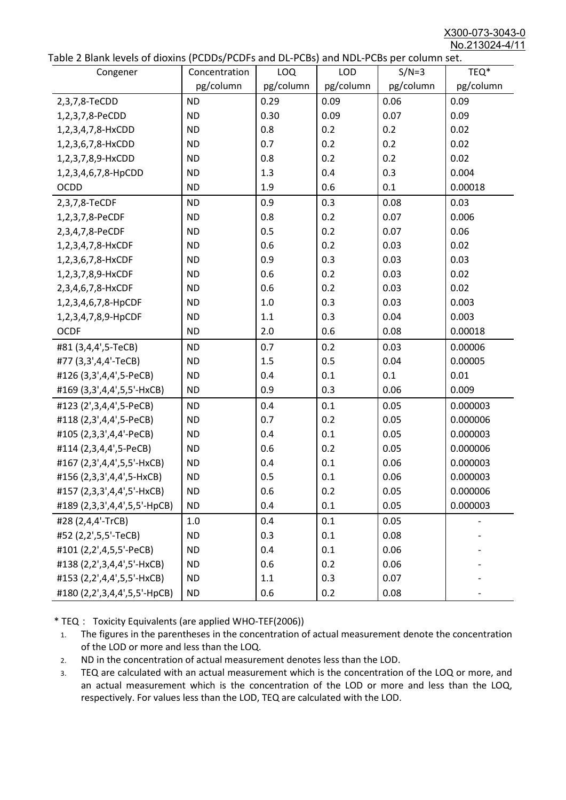X300-073-3043-0 No.213024-4/11

|  | Table 2 Blank levels of dioxins (PCDDs/PCDFs and DL-PCBs) and NDL-PCBs per column set. |
|--|----------------------------------------------------------------------------------------|
|--|----------------------------------------------------------------------------------------|

| abic 2 Diarik icveis of dioxins (I CDD3/TCDTs and DET CD3/ and NDET CD3 pcr column sett.<br>Congener | Concentration | <b>LOQ</b> | <b>LOD</b> | $S/N=3$   | TEQ*      |
|------------------------------------------------------------------------------------------------------|---------------|------------|------------|-----------|-----------|
|                                                                                                      | pg/column     | pg/column  | pg/column  | pg/column | pg/column |
| 2,3,7,8-TeCDD                                                                                        | <b>ND</b>     | 0.29       | 0.09       | 0.06      | 0.09      |
| 1,2,3,7,8-PeCDD                                                                                      | <b>ND</b>     | 0.30       | 0.09       | 0.07      | 0.09      |
| 1,2,3,4,7,8-HxCDD                                                                                    | <b>ND</b>     | 0.8        | 0.2        | 0.2       | 0.02      |
| 1,2,3,6,7,8-HxCDD                                                                                    | <b>ND</b>     | 0.7        | 0.2        | 0.2       | 0.02      |
| 1,2,3,7,8,9-HxCDD                                                                                    | <b>ND</b>     | 0.8        | 0.2        | 0.2       | 0.02      |
| 1,2,3,4,6,7,8-HpCDD                                                                                  | <b>ND</b>     | 1.3        | 0.4        | 0.3       | 0.004     |
| <b>OCDD</b>                                                                                          | <b>ND</b>     | 1.9        | 0.6        | 0.1       | 0.00018   |
| 2,3,7,8-TeCDF                                                                                        | <b>ND</b>     | 0.9        | 0.3        | 0.08      | 0.03      |
| 1,2,3,7,8-PeCDF                                                                                      | <b>ND</b>     | 0.8        | 0.2        | 0.07      | 0.006     |
| 2,3,4,7,8-PeCDF                                                                                      | <b>ND</b>     | 0.5        | 0.2        | 0.07      | 0.06      |
| 1,2,3,4,7,8-HxCDF                                                                                    | <b>ND</b>     | 0.6        | 0.2        | 0.03      | 0.02      |
| 1,2,3,6,7,8-HxCDF                                                                                    | <b>ND</b>     | 0.9        | 0.3        | 0.03      | 0.03      |
| 1,2,3,7,8,9-HxCDF                                                                                    | <b>ND</b>     | 0.6        | 0.2        | 0.03      | 0.02      |
| 2,3,4,6,7,8-HxCDF                                                                                    | <b>ND</b>     | 0.6        | 0.2        | 0.03      | 0.02      |
| 1,2,3,4,6,7,8-HpCDF                                                                                  | <b>ND</b>     | 1.0        | 0.3        | 0.03      | 0.003     |
| 1,2,3,4,7,8,9-HpCDF                                                                                  | <b>ND</b>     | 1.1        | 0.3        | 0.04      | 0.003     |
| <b>OCDF</b>                                                                                          | <b>ND</b>     | 2.0        | 0.6        | 0.08      | 0.00018   |
| #81 (3,4,4',5-TeCB)                                                                                  | <b>ND</b>     | 0.7        | 0.2        | 0.03      | 0.00006   |
| #77 (3,3',4,4'-TeCB)                                                                                 | <b>ND</b>     | 1.5        | 0.5        | 0.04      | 0.00005   |
| #126 (3,3',4,4',5-PeCB)                                                                              | <b>ND</b>     | 0.4        | 0.1        | 0.1       | 0.01      |
| #169 (3,3',4,4',5,5'-HxCB)                                                                           | <b>ND</b>     | 0.9        | 0.3        | 0.06      | 0.009     |
| #123 (2',3,4,4',5-PeCB)                                                                              | <b>ND</b>     | 0.4        | 0.1        | 0.05      | 0.000003  |
| #118 (2,3',4,4',5-PeCB)                                                                              | <b>ND</b>     | 0.7        | 0.2        | 0.05      | 0.000006  |
| #105 (2,3,3',4,4'-PeCB)                                                                              | <b>ND</b>     | 0.4        | 0.1        | 0.05      | 0.000003  |
| #114 (2,3,4,4',5-PeCB)                                                                               | <b>ND</b>     | 0.6        | 0.2        | 0.05      | 0.000006  |
| #167 (2,3',4,4',5,5'-HxCB)                                                                           | <b>ND</b>     | 0.4        | 0.1        | 0.06      | 0.000003  |
| #156 (2,3,3',4,4',5-HxCB)                                                                            | <b>ND</b>     | 0.5        | 0.1        | 0.06      | 0.000003  |
| #157 (2,3,3',4,4',5'-HxCB)                                                                           | <b>ND</b>     | 0.6        | 0.2        | 0.05      | 0.000006  |
| #189 (2,3,3',4,4',5,5'-HpCB)                                                                         | <b>ND</b>     | 0.4        | 0.1        | 0.05      | 0.000003  |
| #28 (2,4,4'-TrCB)                                                                                    | 1.0           | 0.4        | 0.1        | 0.05      |           |
| #52 (2,2',5,5'-TeCB)                                                                                 | <b>ND</b>     | 0.3        | 0.1        | 0.08      |           |
| #101 (2,2',4,5,5'-PeCB)                                                                              | <b>ND</b>     | 0.4        | 0.1        | 0.06      |           |
| #138 (2,2',3,4,4',5'-HxCB)                                                                           | <b>ND</b>     | 0.6        | 0.2        | 0.06      |           |
| #153 (2,2',4,4',5,5'-HxCB)                                                                           | <b>ND</b>     | 1.1        | 0.3        | 0.07      |           |
| #180 (2,2',3,4,4',5,5'-HpCB)                                                                         | <b>ND</b>     | 0.6        | 0.2        | 0.08      |           |

\* TEQ: Toxicity Equivalents (are applied WHO-TEF(2006))

- 1. The figures in the parentheses in the concentration of actual measurement denote the concentration of the LOD or more and less than the LOQ.
- 2. ND in the concentration of actual measurement denotes less than the LOD.
- 3. TEQ are calculated with an actual measurement which is the concentration of the LOQ or more, and an actual measurement which is the concentration of the LOD or more and less than the LOQ, respectively. For values less than the LOD, TEQ are calculated with the LOD.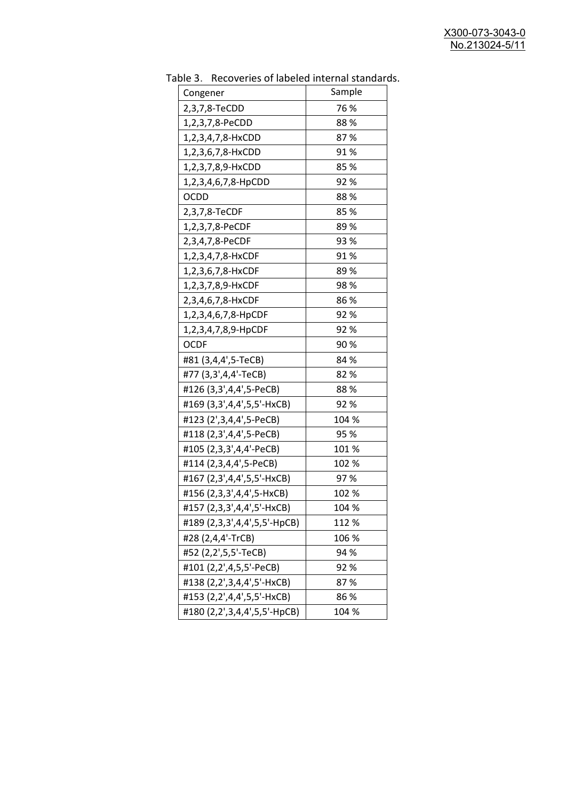| uwic J.<br>Recoveries of fabeled internal standar |        |
|---------------------------------------------------|--------|
| Congener                                          | Sample |
| 2,3,7,8-TeCDD                                     | 76 %   |
| 1,2,3,7,8-PeCDD                                   | 88%    |
| 1,2,3,4,7,8-HxCDD                                 | 87%    |
| 1,2,3,6,7,8-HxCDD                                 | 91%    |
| 1,2,3,7,8,9-HxCDD                                 | 85 %   |
| 1,2,3,4,6,7,8-HpCDD                               | 92%    |
| <b>OCDD</b>                                       | 88%    |
| 2,3,7,8-TeCDF                                     | 85%    |
| 1,2,3,7,8-PeCDF                                   | 89%    |
| 2,3,4,7,8-PeCDF                                   | 93 %   |
| 1,2,3,4,7,8-HxCDF                                 | 91%    |
| 1,2,3,6,7,8-HxCDF                                 | 89 %   |
| 1,2,3,7,8,9-HxCDF                                 | 98%    |
| 2,3,4,6,7,8-HxCDF                                 | 86%    |
| 1,2,3,4,6,7,8-HpCDF                               | 92%    |
| 1,2,3,4,7,8,9-HpCDF                               | 92%    |
| <b>OCDF</b>                                       | 90%    |
| #81 (3,4,4',5-TeCB)                               | 84 %   |
| #77 (3,3',4,4'-TeCB)                              | 82%    |
| #126 (3,3',4,4',5-PeCB)                           | 88%    |
| #169 (3,3',4,4',5,5'-HxCB)                        | 92 %   |
| #123 (2',3,4,4',5-PeCB)                           | 104 %  |
| #118 (2,3',4,4',5-PeCB)                           | 95 %   |
| #105 (2,3,3',4,4'-PeCB)                           | 101%   |
| #114 (2,3,4,4',5-PeCB)                            | 102 %  |
| #167 (2,3',4,4',5,5'-HxCB)                        | 97%    |
| #156 (2,3,3',4,4',5-HxCB)                         | 102 %  |
| #157 (2,3,3',4,4',5'-HxCB)                        | 104 %  |
| #189 (2,3,3',4,4',5,5'-HpCB)                      | 112 %  |
| #28 (2,4,4'-TrCB)                                 | 106 %  |
| #52 (2,2',5,5'-TeCB)                              | 94 %   |
| #101 (2,2',4,5,5'-PeCB)                           | 92%    |
| #138 (2,2',3,4,4',5'-HxCB)                        | 87%    |
| #153 (2,2',4,4',5,5'-HxCB)                        | 86%    |
| #180 (2,2',3,4,4',5,5'-HpCB)                      | 104 %  |

Table 3. Recoveries of labeled internal standards.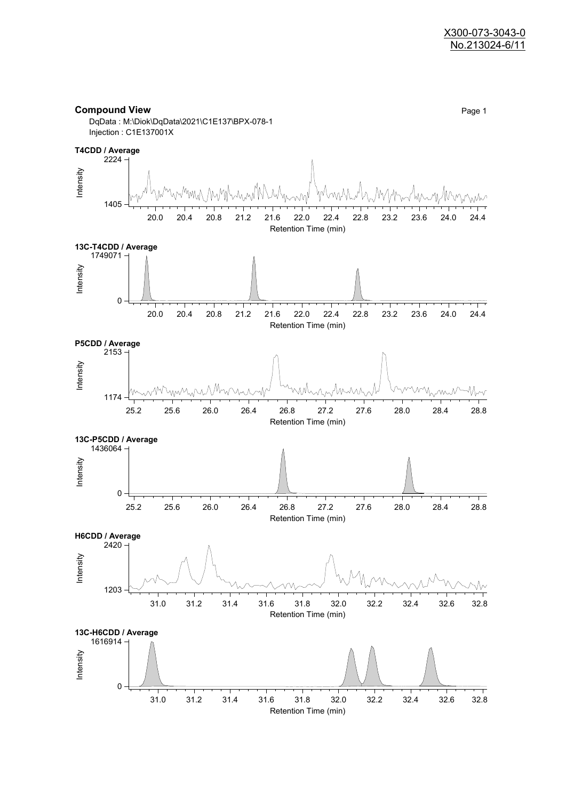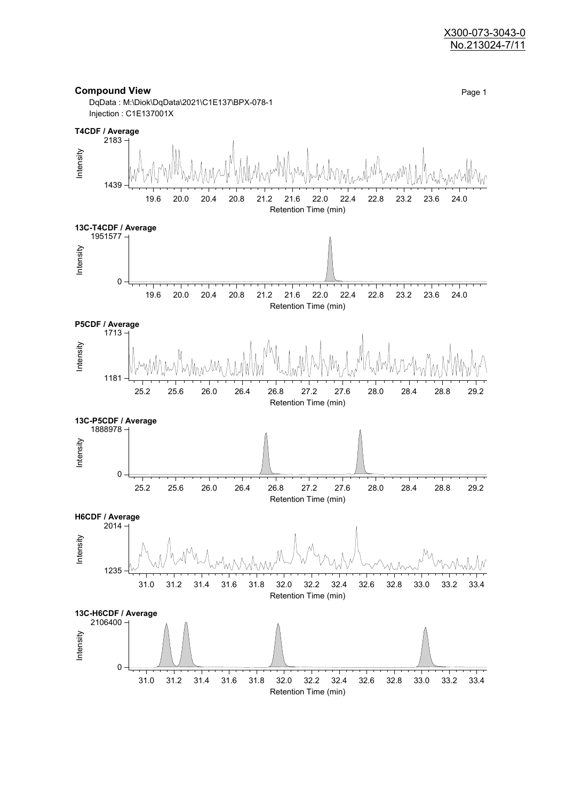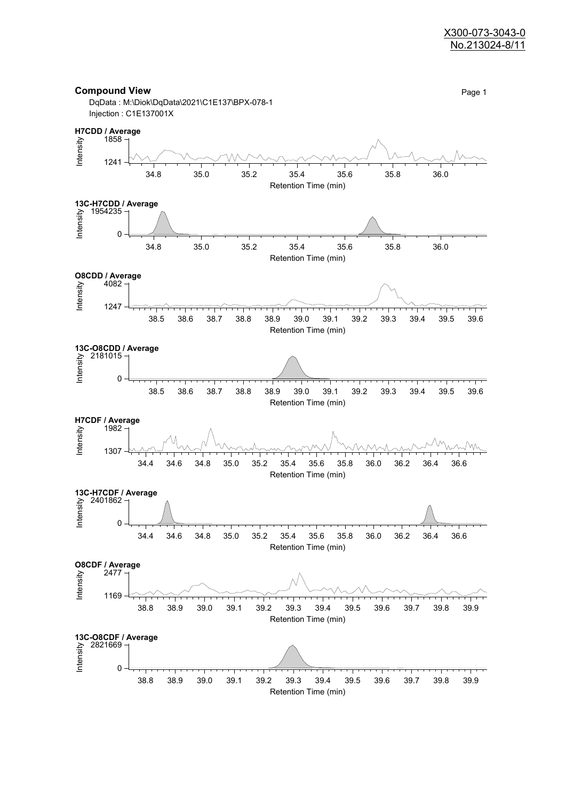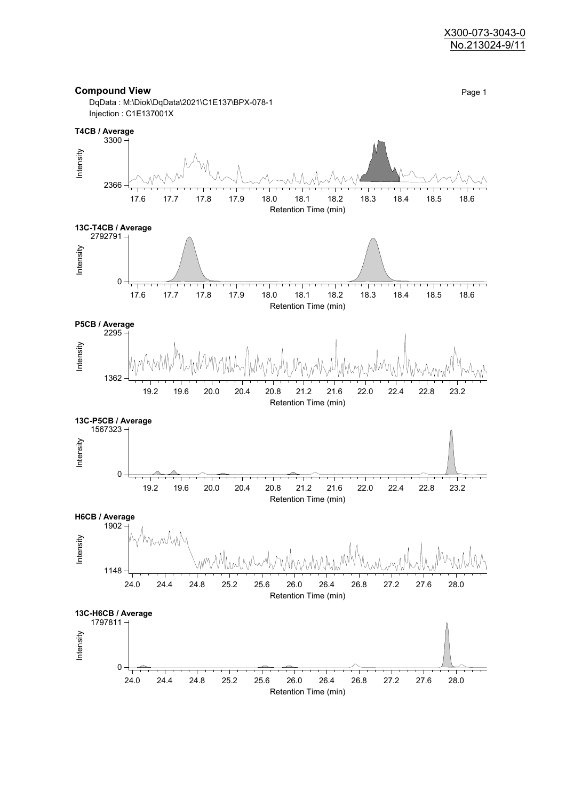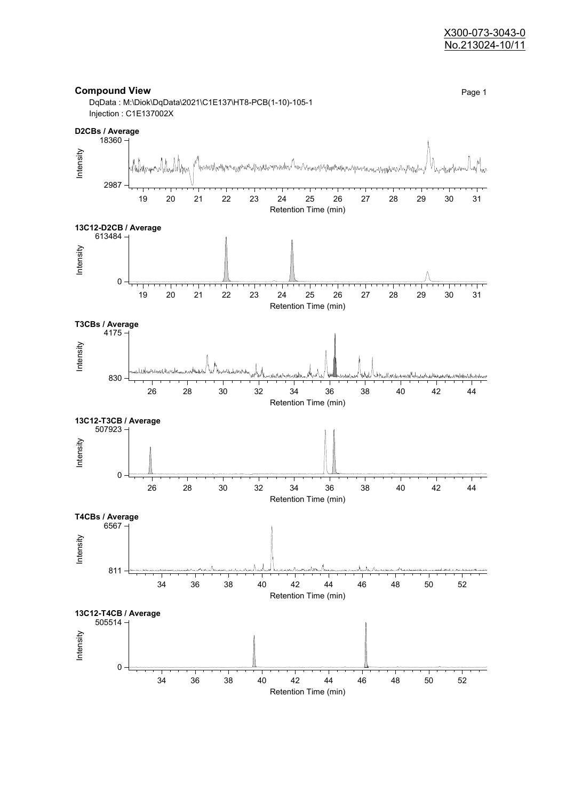